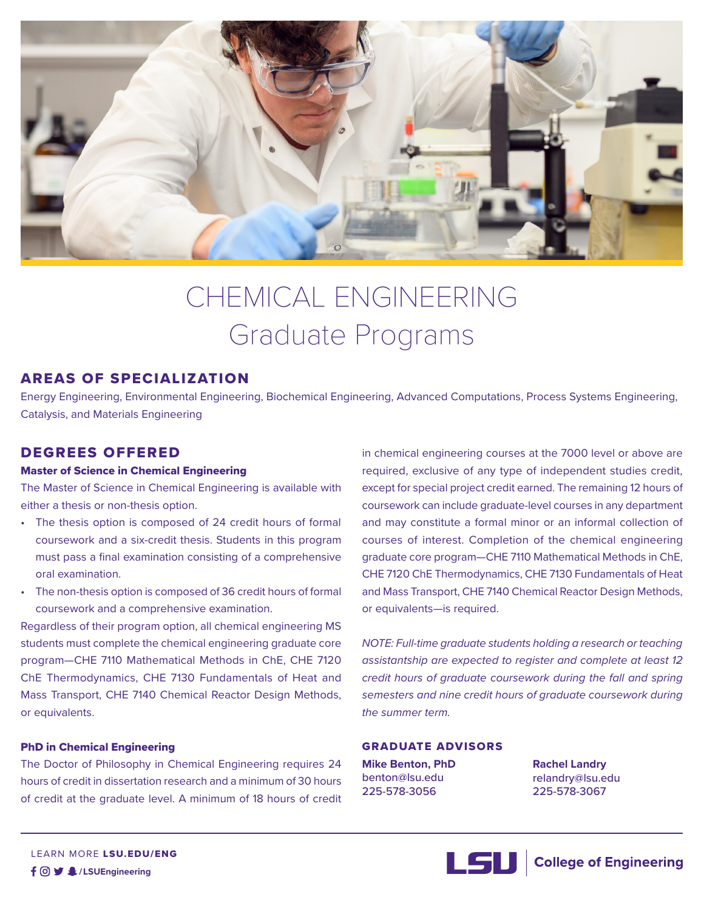

# CHEMICAL ENGINEERING Graduate Programs

# AREAS OF SPECIALIZATION

Energy Engineering, Environmental Engineering, Biochemical Engineering, Advanced Computations, Process Systems Engineering, Catalysis, and Materials Engineering

# DEGREES OFFERED

# Master of Science in Chemical Engineering

The Master of Science in Chemical Engineering is available with either a thesis or non-thesis option.

- The thesis option is composed of 24 credit hours of formal coursework and a six-credit thesis. Students in this program must pass a final examination consisting of a comprehensive oral examination.
- The non-thesis option is composed of 36 credit hours of formal coursework and a comprehensive examination.

Regardless of their program option, all chemical engineering MS students must complete the chemical engineering graduate core program—CHE 7110 Mathematical Methods in ChE, CHE 7120 ChE Thermodynamics, CHE 7130 Fundamentals of Heat and Mass Transport, CHE 7140 Chemical Reactor Design Methods, or equivalents.

# PhD in Chemical Engineering

The Doctor of Philosophy in Chemical Engineering requires 24 hours of credit in dissertation research and a minimum of 30 hours of credit at the graduate level. A minimum of 18 hours of credit in chemical engineering courses at the 7000 level or above are required, exclusive of any type of independent studies credit, except for special project credit earned. The remaining 12 hours of coursework can include graduate-level courses in any department and may constitute a formal minor or an informal collection of courses of interest. Completion of the chemical engineering graduate core program—CHE 7110 Mathematical Methods in ChE, CHE 7120 ChE Thermodynamics, CHE 7130 Fundamentals of Heat and Mass Transport, CHE 7140 Chemical Reactor Design Methods, or equivalents—is required.

*NOTE: Full-time graduate students holding a research or teaching assistantship are expected to register and complete at least 12 credit hours of graduate coursework during the fall and spring semesters and nine credit hours of graduate coursework during the summer term.*

# GRADUATE ADVISORS

**Mike Benton, PhD** benton@lsu.edu 225-578-3056

**Rachel Landry** relandry@lsu.edu 225-578-3067